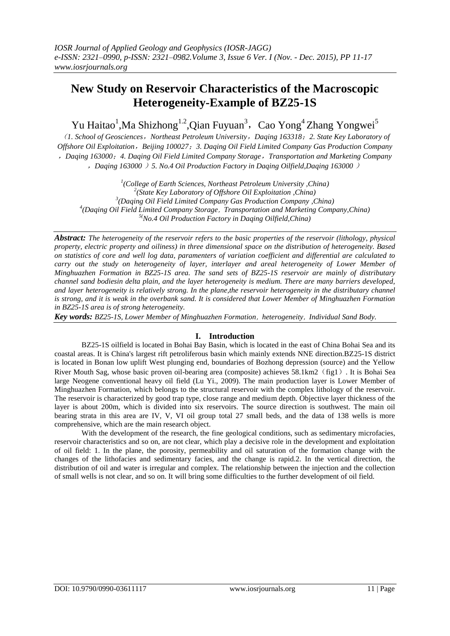# **New Study on Reservoir Characteristics of the Macroscopic Heterogeneity-Example of BZ25-1S**

Yu Haitao<sup>1</sup>,Ma Shizhong<sup>1.2</sup>,Qian Fuyuan<sup>3</sup>, Cao Yong<sup>4</sup> Zhang Yongwei<sup>5</sup>

(*1. School of Geosciences*,*Northeast Petroleum University*,*Daqing 163318*;*2. State Key Laboratory of Offshore Oil Exploitation*,*Beijing 100027*;*3. Daqing Oil Field Limited Company Gas Production Company* ,*Daqing 163000*;*4. Daqing Oil Field Limited Company Storage*,*Transportation and Marketing Company* ,*Daqing 163000* )*5. No.4 Oil Production Factory in Daqing Oilfield,Daqing 163000* )

 *(College of Earth Sciences, Northeast Petroleum University ,China) (State Key Laboratory of Offshore Oil Exploitation ,China) (Daqing Oil Field Limited Company Gas Production Company ,China) (Daqing Oil Field Limited Company Storage*,*Transportation and Marketing Company,China) 5(No.4 Oil Production Factory in Daqing Oilfield,China)*

*Abstract: The heterogeneity of the reservoir refers to the basic properties of the reservoir (lithology, physical property, electric property and oiliness) in three dimensional space on the distribution of heterogeneity. Based on statistics of core and well log data, paramenters of variation coefficient and differential are calculated to carry out the study on heterogeneity of layer, interlayer and areal heterogeneity of Lower Member of Minghuazhen Formation in BZ25-1S area. The sand sets of BZ25-1S reservoir are mainly of distributary channel sand bodiesin delta plain, and the layer heterogeneity is medium. There are many barriers developed, and layer heterogeneity is relatively strong. In the plane, the reservoir heterogeneity in the distributary channel is strong, and it is weak in the overbank sand. It is considered that Lower Member of Minghuazhen Formation in BZ25-1S area is of strong heterogeneity.*

*Key words: BZ25-1S, Lower Member of Minghuazhen Formation*,*heterogeneity*,*Individual Sand Body.*

# **I. Introduction**

BZ25-1S oilfield is located in Bohai Bay Basin, which is located in the east of China Bohai Sea and its coastal areas. It is China's largest rift petroliferous basin which mainly extends NNE direction.BZ25-1S district is located in Bonan low uplift West plunging end, boundaries of Bozhong depression (source) and the Yellow River Mouth Sag, whose basic proven oil-bearing area (composite) achieves 58.1km2(fig1). It is Bohai Sea large Neogene conventional heavy oil field (Lu Yi., 2009). The main production layer is Lower Member of Minghuazhen Formation, which belongs to the structural reservoir with the complex lithology of the reservoir. The reservoir is characterized by good trap type, close range and medium depth. Objective layer thickness of the layer is about 200m, which is divided into six reservoirs. The source direction is southwest. The main oil bearing strata in this area are IV, V, VI oil group total 27 small beds, and the data of 138 wells is more comprehensive, which are the main research object.

With the development of the research, the fine geological conditions, such as sedimentary microfacies, reservoir characteristics and so on, are not clear, which play a decisive role in the development and exploitation of oil field: 1. In the plane, the porosity, permeability and oil saturation of the formation change with the changes of the lithofacies and sedimentary facies, and the change is rapid.2. In the vertical direction, the distribution of oil and water is irregular and complex. The relationship between the injection and the collection of small wells is not clear, and so on. It will bring some difficulties to the further development of oil field.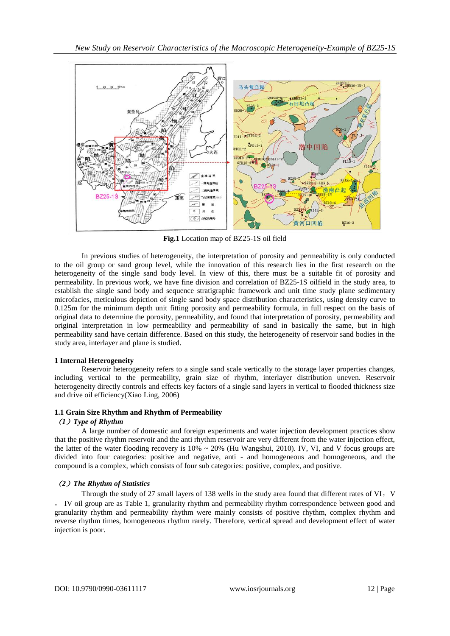

**Fig.1** Location map of BZ25-1S oil field

In previous studies of heterogeneity, the interpretation of porosity and permeability is only conducted to the oil group or sand group level, while the innovation of this research lies in the first research on the heterogeneity of the single sand body level. In view of this, there must be a suitable fit of porosity and permeability. In previous work, we have fine division and correlation of BZ25-1S oilfield in the study area, to establish the single sand body and sequence stratigraphic framework and unit time study plane sedimentary microfacies, meticulous depiction of single sand body space distribution characteristics, using density curve to 0.125m for the minimum depth unit fitting porosity and permeability formula, in full respect on the basis of original data to determine the porosity, permeability, and found that interpretation of porosity, permeability and original interpretation in low permeability and permeability of sand in basically the same, but in high permeability sand have certain difference. Based on this study, the heterogeneity of reservoir sand bodies in the study area, interlayer and plane is studied.

# **1 Internal Heterogeneity**

Reservoir heterogeneity refers to a single sand scale vertically to the storage layer properties changes, including vertical to the permeability, grain size of rhythm, interlayer distribution uneven. Reservoir heterogeneity directly controls and effects key factors of a single sand layers in vertical to flooded thickness size and drive oil efficiency(Xiao Ling, 2006)

# **1.1 Grain Size Rhythm and Rhythm of Permeability**

## (*1*)*Type of Rhythm*

A large number of domestic and foreign experiments and water injection development practices show that the positive rhythm reservoir and the anti rhythm reservoir are very different from the water injection effect, the latter of the water flooding recovery is  $10\% \sim 20\%$  (Hu Wangshui, 2010). IV, VI, and V focus groups are divided into four categories: positive and negative, anti - and homogeneous and homogeneous, and the compound is a complex, which consists of four sub categories: positive, complex, and positive.

# (*2*)*The Rhythm of Statistics*

Through the study of 27 small layers of 138 wells in the study area found that different rates of VI, V , IV oil group are as Table 1, granularity rhythm and permeability rhythm correspondence between good and granularity rhythm and permeability rhythm were mainly consists of positive rhythm, complex rhythm and reverse rhythm times, homogeneous rhythm rarely. Therefore, vertical spread and development effect of water injection is poor.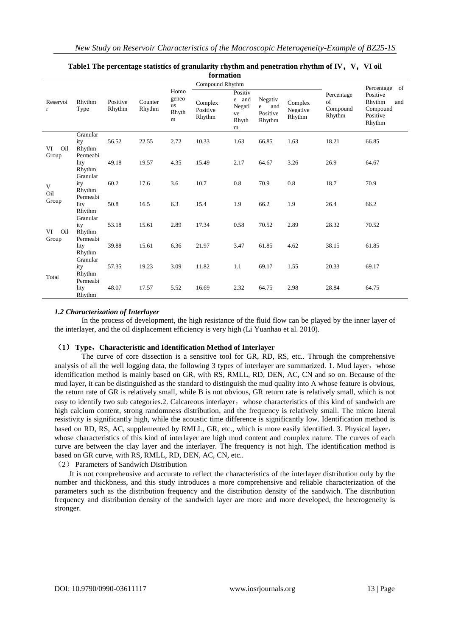| tormation                               |                                       |                    |                   |                                          |                               |                                                |                                           |                               |                                        |                                                             |
|-----------------------------------------|---------------------------------------|--------------------|-------------------|------------------------------------------|-------------------------------|------------------------------------------------|-------------------------------------------|-------------------------------|----------------------------------------|-------------------------------------------------------------|
| Compound Rhythm                         |                                       |                    |                   |                                          |                               |                                                |                                           |                               |                                        | of<br>Percentage                                            |
| Reservoi<br>$\mathbf{r}$                | Rhythm<br>Type                        | Positive<br>Rhythm | Counter<br>Rhythm | Homo<br>geneo<br><b>us</b><br>Rhyth<br>m | Complex<br>Positive<br>Rhythm | Positiv<br>e and<br>Negati<br>ve<br>Rhyth<br>m | Negativ<br>e<br>and<br>Positive<br>Rhythm | Complex<br>Negative<br>Rhythm | Percentage<br>of<br>Compound<br>Rhythm | Positive<br>Rhythm<br>and<br>Compound<br>Positive<br>Rhythm |
| VI<br>Oil<br>Group<br>V<br>Oil<br>Group | Granular<br>ity<br>Rhythm<br>Permeabi | 56.52              | 22.55             | 2.72                                     | 10.33                         | 1.63                                           | 66.85                                     | 1.63                          | 18.21                                  | 66.85                                                       |
|                                         | lity<br>Rhythm<br>Granular            | 49.18              | 19.57             | 4.35                                     | 15.49                         | 2.17                                           | 64.67                                     | 3.26                          | 26.9                                   | 64.67                                                       |
|                                         | ity<br>Rhythm<br>Permeabi             | 60.2               | 17.6              | 3.6                                      | 10.7                          | 0.8                                            | 70.9                                      | 0.8                           | 18.7                                   | 70.9                                                        |
|                                         | lity<br>Rhythm<br>Granular            | 50.8               | 16.5              | 6.3                                      | 15.4                          | 1.9                                            | 66.2                                      | 1.9                           | 26.4                                   | 66.2                                                        |
| VI<br>Oil<br>Group                      | ity<br>Rhythm<br>Permeabi             | 53.18              | 15.61             | 2.89                                     | 17.34                         | 0.58                                           | 70.52                                     | 2.89                          | 28.32                                  | 70.52                                                       |
|                                         | lity<br>Rhythm<br>Granular            | 39.88              | 15.61             | 6.36                                     | 21.97                         | 3.47                                           | 61.85                                     | 4.62                          | 38.15                                  | 61.85                                                       |
| Total                                   | ity<br>Rhythm<br>Permeabi             | 57.35              | 19.23             | 3.09                                     | 11.82                         | 1.1                                            | 69.17                                     | 1.55                          | 20.33                                  | 69.17                                                       |
|                                         | lity<br>Rhythm                        | 48.07              | 17.57             | 5.52                                     | 16.69                         | 2.32                                           | 64.75                                     | 2.98                          | 28.84                                  | 64.75                                                       |

## Table1 The percentage statistics of granularity rhythm and penetration rhythm of IV, V, VI oil **formation**

# *1.2 Characterization of Interlayer*

In the process of development, the high resistance of the fluid flow can be played by the inner layer of the interlayer, and the oil displacement efficiency is very high (Li Yuanhao et al. 2010).

# (**1**) **Type**,**Characteristic and Identification Method of Interlayer**

The curve of core dissection is a sensitive tool for GR, RD, RS, etc.. Through the comprehensive analysis of all the well logging data, the following 3 types of interlayer are summarized. 1. Mud layer, whose identification method is mainly based on GR, with RS, RMLL, RD, DEN, AC, CN and so on. Because of the mud layer, it can be distinguished as the standard to distinguish the mud quality into A whose feature is obvious, the return rate of GR is relatively small, while B is not obvious, GR return rate is relatively small, which is not easy to identify two sub categories.2. Calcareous interlayer, whose characteristics of this kind of sandwich are high calcium content, strong randomness distribution, and the frequency is relatively small. The micro lateral resistivity is significantly high, while the acoustic time difference is significantly low. Identification method is based on RD, RS, AC, supplemented by RMLL, GR, etc., which is more easily identified. 3. Physical layer, whose characteristics of this kind of interlayer are high mud content and complex nature. The curves of each curve are between the clay layer and the interlayer. The frequency is not high. The identification method is based on GR curve, with RS, RMLL, RD, DEN, AC, CN, etc..

(2) Parameters of Sandwich Distribution

It is not comprehensive and accurate to reflect the characteristics of the interlayer distribution only by the number and thickbness, and this study introduces a more comprehensive and reliable characterization of the parameters such as the distribution frequency and the distribution density of the sandwich. The distribution frequency and distribution density of the sandwich layer are more and more developed, the heterogeneity is stronger.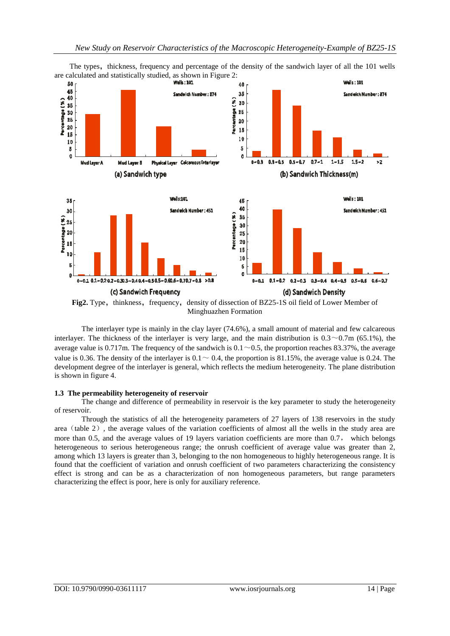

The types, thickness, frequency and percentage of the density of the sandwich layer of all the 101 wells

The interlayer type is mainly in the clay layer (74.6%), a small amount of material and few calcareous interlayer. The thickness of the interlayer is very large, and the main distribution is  $0.3 \sim 0.7$ m (65.1%), the average value is 0.717m. The frequency of the sandwich is  $0.1 \sim 0.5$ , the proportion reaches 83.37%, the average value is 0.36. The density of the interlayer is  $0.1 \sim 0.4$ , the proportion is 81.15%, the average value is 0.24. The development degree of the interlayer is general, which reflects the medium heterogeneity. The plane distribution is shown in figure 4.

#### **1.3 The permeability heterogeneity of reservoir**

The change and difference of permeability in reservoir is the key parameter to study the heterogeneity of reservoir.

Through the statistics of all the heterogeneity parameters of 27 layers of 138 reservoirs in the study area (table 2), the average values of the variation coefficients of almost all the wells in the study area are more than 0.5, and the average values of 19 layers variation coefficients are more than 0.7, which belongs heterogeneous to serious heterogeneous range; the onrush coefficient of average value was greater than 2, among which 13 layers is greater than 3, belonging to the non homogeneous to highly heterogeneous range. It is found that the coefficient of variation and onrush coefficient of two parameters characterizing the consistency effect is strong and can be as a characterization of non homogeneous parameters, but range parameters characterizing the effect is poor, here is only for auxiliary reference.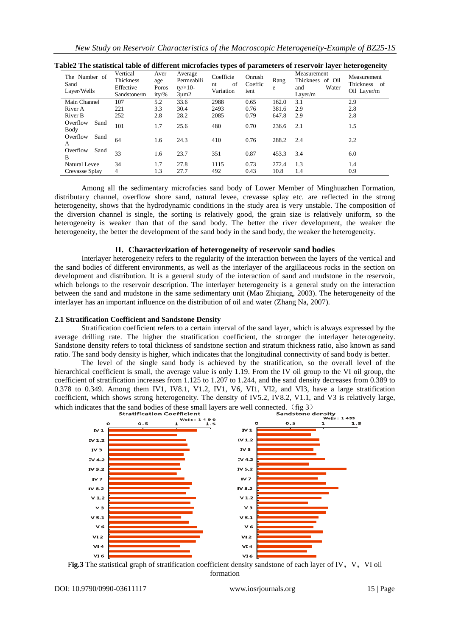*New Study on Reservoir Characteristics of the Macroscopic Heterogeneity-Example of BZ25-1S*

| The Number of<br>Sand<br>Layer/Wells | Vertical<br>Thickness<br>Effective<br>Sandstone/m | Aver<br>age<br>Poros<br>$ity/\%$ | Average<br>Permeabili<br>$ty/x10-$<br>$3 \mu m2$ | Coefficie<br>of<br>nt<br>Variation | Onrush<br>Coeffic<br>ient | Rang<br>e | Measurement<br>Thickness of Oil<br>Water<br>and<br>Layer/ $m$ | Measurement<br>Thickness of<br>Oil Layer/m |
|--------------------------------------|---------------------------------------------------|----------------------------------|--------------------------------------------------|------------------------------------|---------------------------|-----------|---------------------------------------------------------------|--------------------------------------------|
| Main Channel                         | 107                                               | 5.2                              | 33.6                                             | 2988                               | 0.65                      | 162.0     | 3.1                                                           | 2.9                                        |
| River A                              | 221                                               | 3.3                              | 30.4                                             | 2493                               | 0.76                      | 381.6     | 2.9                                                           | 2.8                                        |
| River B                              | 252                                               | 2.8                              | 28.2                                             | 2085                               | 0.79                      | 647.8     | 2.9                                                           | 2.8                                        |
| Overflow<br>Sand<br>Body             | 101                                               | 1.7                              | 25.6                                             | 480                                | 0.70                      | 236.6     | 2.1                                                           | 1.5                                        |
| Overflow<br>Sand<br>A                | 64                                                | 1.6                              | 24.3                                             | 410                                | 0.76                      | 288.2     | 2.4                                                           | 2.2                                        |
| Overflow<br>Sand<br>B                | 33                                                | 1.6                              | 23.7                                             | 351                                | 0.87                      | 453.3     | 3.4                                                           | 6.0                                        |
| <b>Natural Levee</b>                 | 34                                                | 1.7                              | 27.8                                             | 1115                               | 0.73                      | 272.4     | 1.3                                                           | 1.4                                        |
| Crevasse Splay                       | 4                                                 | 1.3                              | 27.7                                             | 492                                | 0.43                      | 10.8      | 1.4                                                           | 0.9                                        |

| Table2 The statistical table of different microfacies types of parameters of reservoir layer heterogeneity |  |  |
|------------------------------------------------------------------------------------------------------------|--|--|
|                                                                                                            |  |  |

Among all the sedimentary microfacies sand body of Lower Member of Minghuazhen Formation, distributary channel, overflow shore sand, natural levee, crevasse splay etc. are reflected in the strong heterogeneity, shows that the hydrodynamic conditions in the study area is very unstable. The composition of the diversion channel is single, the sorting is relatively good, the grain size is relatively uniform, so the heterogeneity is weaker than that of the sand body. The better the river development, the weaker the heterogeneity, the better the development of the sand body in the sand body, the weaker the heterogeneity.

## **II. Characterization of heterogeneity of reservoir sand bodies**

Interlayer heterogeneity refers to the regularity of the interaction between the layers of the vertical and the sand bodies of different environments, as well as the interlayer of the argillaceous rocks in the section on development and distribution. It is a general study of the interaction of sand and mudstone in the reservoir, which belongs to the reservoir description. The interlayer heterogeneity is a general study on the interaction between the sand and mudstone in the same sedimentary unit (Mao Zhiqiang, 2003). The heterogeneity of the interlayer has an important influence on the distribution of oil and water (Zhang Na, 2007).

## **2.1 Stratification Coefficient and Sandstone Density**

Stratification coefficient refers to a certain interval of the sand layer, which is always expressed by the average drilling rate. The higher the stratification coefficient, the stronger the interlayer heterogeneity. Sandstone density refers to total thickness of sandstone section and stratum thickness ratio, also known as sand ratio. The sand body density is higher, which indicates that the longitudinal connectivity of sand body is better.

The level of the single sand body is achieved by the stratification, so the overall level of the hierarchical coefficient is small, the average value is only 1.19. From the IV oil group to the VI oil group, the coefficient of stratification increases from 1.125 to 1.207 to 1.244, and the sand density decreases from 0.389 to 0.378 to 0.349. Among them IV1, IV8.1, V1.2, IV1, V6, VI1, VI2, and VI3, have a large stratification coefficient, which shows strong heterogeneity. The density of IV5.2, IV8.2, V1.1, and V3 is relatively large, which indicates that the sand bodies of these small layers are well connected. (fig 3)<br>stratification Coefficient sandstone de



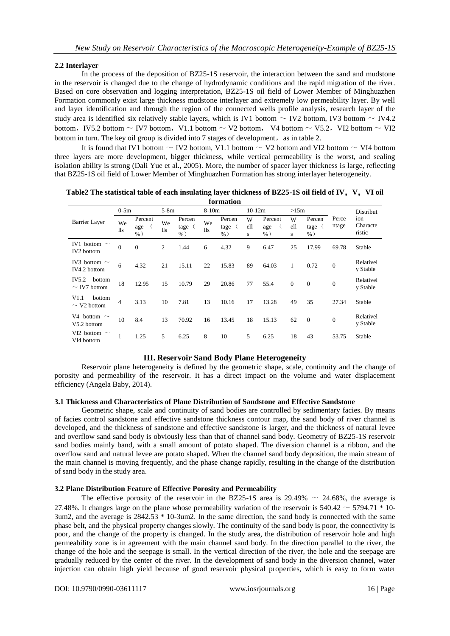# **2.2 Interlayer**

In the process of the deposition of BZ25-1S reservoir, the interaction between the sand and mudstone in the reservoir is changed due to the change of hydrodynamic conditions and the rapid migration of the river. Based on core observation and logging interpretation, BZ25-1S oil field of Lower Member of Minghuazhen Formation commonly exist large thickness mudstone interlayer and extremely low permeability layer. By well and layer identification and through the region of the connected wells profile analysis, research layer of the study area is identified six relatively stable layers, which is IV1 bottom  $\sim$  IV2 bottom, IV3 bottom  $\sim$  IV4.2 bottom, IV5.2 bottom  $\sim$  IV7 bottom, V1.1 bottom  $\sim$  V2 bottom, V4 bottom  $\sim$  V5.2, VI2 bottom  $\sim$  VI2 bottom in turn. The key oil group is divided into  $7$  stages of development, as in table 2.

It is found that IV1 bottom  $\sim$  IV2 bottom, V1.1 bottom  $\sim$  V2 bottom and VI2 bottom  $\sim$  VI4 bottom three layers are more development, bigger thickness, while vertical permeability is the worst, and sealing isolation ability is strong (Dali Yue et al., 2005). More, the number of spacer layer thickness is large, reflecting that BZ25-1S oil field of Lower Member of Minghuazhen Formation has strong interlayer heterogeneity.

| 191111111111                           |                  |                         |           |                           |           |                         |               |                          |               |                          |                |                           |
|----------------------------------------|------------------|-------------------------|-----------|---------------------------|-----------|-------------------------|---------------|--------------------------|---------------|--------------------------|----------------|---------------------------|
|                                        | $0-5m$           |                         | $5-8m$    |                           | $8-10m$   |                         | $10-12m$      |                          | >15m          |                          |                | Distribut                 |
| Barrier Layer                          | We<br>$\rm{lls}$ | Percent<br>age<br>$%$ ) | We<br>lls | Percen<br>tage (<br>$%$ ) | We<br>11s | Percen<br>tage<br>$%$ ) | W<br>ell<br>S | Percent<br>age<br>$\%$ ) | W<br>ell<br>s | Percen<br>tage<br>$\%$ ) | Perce<br>ntage | ion<br>Characte<br>ristic |
| IV1 bottom $\sim$<br><b>IV2</b> bottom | $\overline{0}$   | $\mathbf{0}$            | 2         | 1.44                      | 6         | 4.32                    | 9             | 6.47                     | 25            | 17.99                    | 69.78          | Stable                    |
| IV3 bottom $\sim$<br>IV4.2 bottom      | 6                | 4.32                    | 21        | 15.11                     | 22        | 15.83                   | 89            | 64.03                    | 1             | 0.72                     | $\mathbf{0}$   | Relativel<br>y Stable     |
| IV5.2<br>bottom<br>$\sim$ IV7 bottom   | 18               | 12.95                   | 15        | 10.79                     | 29        | 20.86                   | 77            | 55.4                     | $\mathbf{0}$  | $\overline{0}$           | $\mathbf{0}$   | Relativel<br>y Stable     |
| V1.1<br>bottom<br>$\sim$ V2 bottom     | $\overline{4}$   | 3.13                    | 10        | 7.81                      | 13        | 10.16                   | 17            | 13.28                    | 49            | 35                       | 27.34          | Stable                    |
| V4 bottom $\sim$<br>V5.2 bottom        | 10               | 8.4                     | 13        | 70.92                     | 16        | 13.45                   | 18            | 15.13                    | 62            | $\mathbf{0}$             | $\mathbf{0}$   | Relativel<br>y Stable     |
| VI2 bottom $\sim$<br>VI4 bottom        |                  | 1.25                    | 5         | 6.25                      | 8         | 10                      | 5             | 6.25                     | 18            | 43                       | 53.75          | Stable                    |

#### **Table2 The statistical table of each insulating layer thickness of BZ25-1S oil field of IV**,**V**,**VI oil formation**

# **III. Reservoir Sand Body Plane Heterogeneity**

Reservoir plane heterogeneity is defined by the geometric shape, scale, continuity and the change of porosity and permeability of the reservoir. It has a direct impact on the volume and water displacement efficiency (Angela Baby, 2014).

## **3.1 Thickness and Characteristics of Plane Distribution of Sandstone and Effective Sandstone**

Geometric shape, scale and continuity of sand bodies are controlled by sedimentary facies. By means of facies control sandstone and effective sandstone thickness contour map, the sand body of river channel is developed, and the thickness of sandstone and effective sandstone is larger, and the thickness of natural levee and overflow sand sand body is obviously less than that of channel sand body. Geometry of BZ25-1S reservoir sand bodies mainly band, with a small amount of potato shaped. The diversion channel is a ribbon, and the overflow sand and natural levee are potato shaped. When the channel sand body deposition, the main stream of the main channel is moving frequently, and the phase change rapidly, resulting in the change of the distribution of sand body in the study area.

# **3.2 Plane Distribution Feature of Effective Porosity and Permeability**

The effective porosity of the reservoir in the BZ25-1S area is  $29.49\% \sim 24.68\%$ , the average is 27.48%. It changes large on the plane whose permeability variation of the reservoir is  $540.42 \sim 5794.71 * 10$ -3um2, and the average is 2842.53 \* 10-3um2. In the same direction, the sand body is connected with the same phase belt, and the physical property changes slowly. The continuity of the sand body is poor, the connectivity is poor, and the change of the property is changed. In the study area, the distribution of reservoir hole and high permeability zone is in agreement with the main channel sand body. In the direction parallel to the river, the change of the hole and the seepage is small. In the vertical direction of the river, the hole and the seepage are gradually reduced by the center of the river. In the development of sand body in the diversion channel, water injection can obtain high yield because of good reservoir physical properties, which is easy to form water